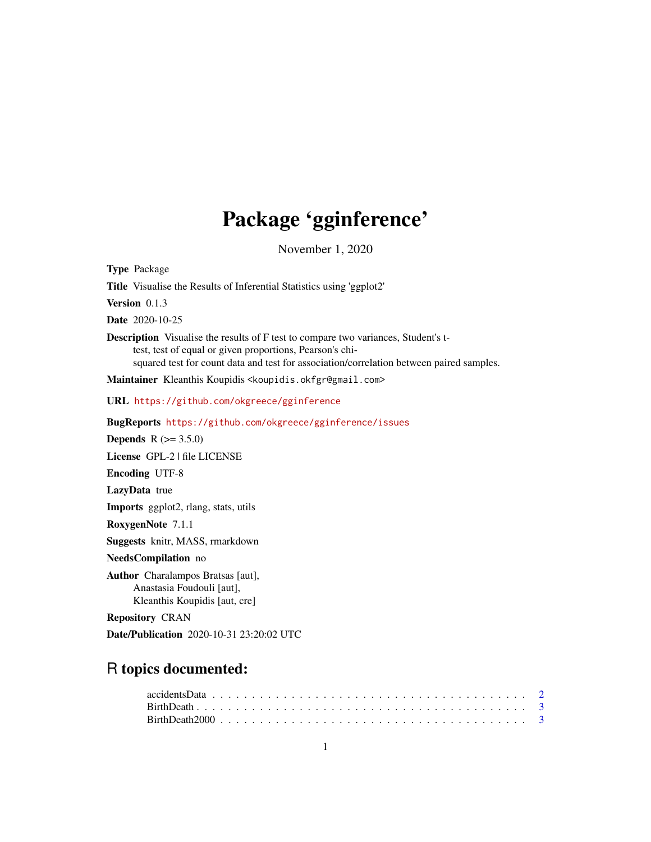## Package 'gginference'

November 1, 2020

<span id="page-0-0"></span>Type Package

Title Visualise the Results of Inferential Statistics using 'ggplot2'

Version 0.1.3

Date 2020-10-25

Description Visualise the results of F test to compare two variances, Student's ttest, test of equal or given proportions, Pearson's chisquared test for count data and test for association/correlation between paired samples.

Maintainer Kleanthis Koupidis <koupidis.okfgr@gmail.com>

URL <https://github.com/okgreece/gginference>

BugReports <https://github.com/okgreece/gginference/issues>

**Depends**  $R (= 3.5.0)$ 

License GPL-2 | file LICENSE

Encoding UTF-8

LazyData true

Imports ggplot2, rlang, stats, utils

RoxygenNote 7.1.1

Suggests knitr, MASS, rmarkdown

## NeedsCompilation no

Author Charalampos Bratsas [aut], Anastasia Foudouli [aut], Kleanthis Koupidis [aut, cre]

Repository CRAN

Date/Publication 2020-10-31 23:20:02 UTC

## R topics documented:

| $accidentsData \ldots \ldots \ldots \ldots \ldots \ldots \ldots \ldots \ldots \ldots \ldots \ldots \ldots 2$ |  |  |  |  |  |  |  |  |  |  |  |  |  |  |  |  |  |  |
|--------------------------------------------------------------------------------------------------------------|--|--|--|--|--|--|--|--|--|--|--|--|--|--|--|--|--|--|
|                                                                                                              |  |  |  |  |  |  |  |  |  |  |  |  |  |  |  |  |  |  |
|                                                                                                              |  |  |  |  |  |  |  |  |  |  |  |  |  |  |  |  |  |  |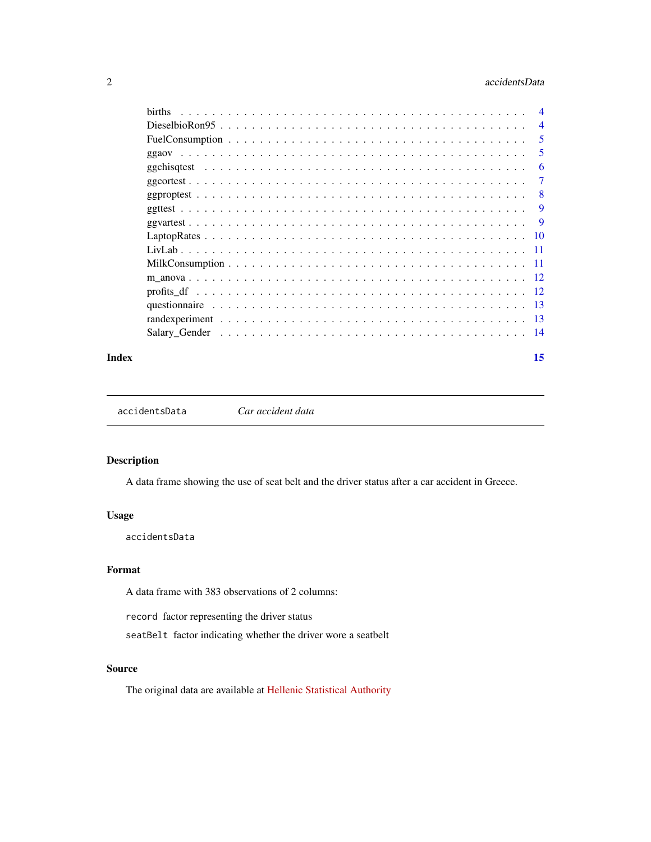## <span id="page-1-0"></span>2 accidentsData

| <b>births</b> | $\overline{4}$  |
|---------------|-----------------|
|               | $\overline{4}$  |
|               | 5               |
|               | 5               |
|               | 6               |
|               | 7               |
|               | 8               |
|               | 9               |
|               | <b>9</b>        |
|               | $\overline{10}$ |
|               | - 11            |
|               | -11             |
|               |                 |
|               |                 |
|               |                 |
|               |                 |
|               |                 |
|               |                 |

#### **Index** [15](#page-14-0)

accidentsData *Car accident data*

## Description

A data frame showing the use of seat belt and the driver status after a car accident in Greece.

## Usage

accidentsData

## Format

A data frame with 383 observations of 2 columns:

record factor representing the driver status

seatBelt factor indicating whether the driver wore a seatbelt

## Source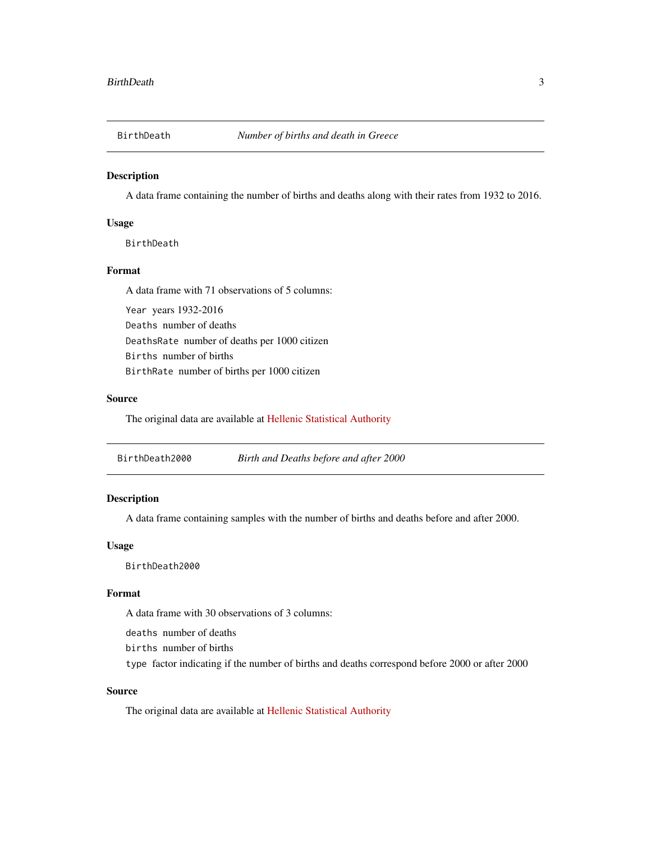<span id="page-2-0"></span>

A data frame containing the number of births and deaths along with their rates from 1932 to 2016.

## Usage

BirthDeath

## Format

A data frame with 71 observations of 5 columns:

Year years 1932-2016 Deaths number of deaths DeathsRate number of deaths per 1000 citizen Births number of births BirthRate number of births per 1000 citizen

## Source

The original data are available at [Hellenic Statistical Authority](http://www.statistics.gr/)

| BirthDeath2000 | Birth and Deaths before and after 2000 |
|----------------|----------------------------------------|
|----------------|----------------------------------------|

## Description

A data frame containing samples with the number of births and deaths before and after 2000.

## Usage

BirthDeath2000

## Format

A data frame with 30 observations of 3 columns:

deaths number of deaths

births number of births

type factor indicating if the number of births and deaths correspond before 2000 or after 2000

## Source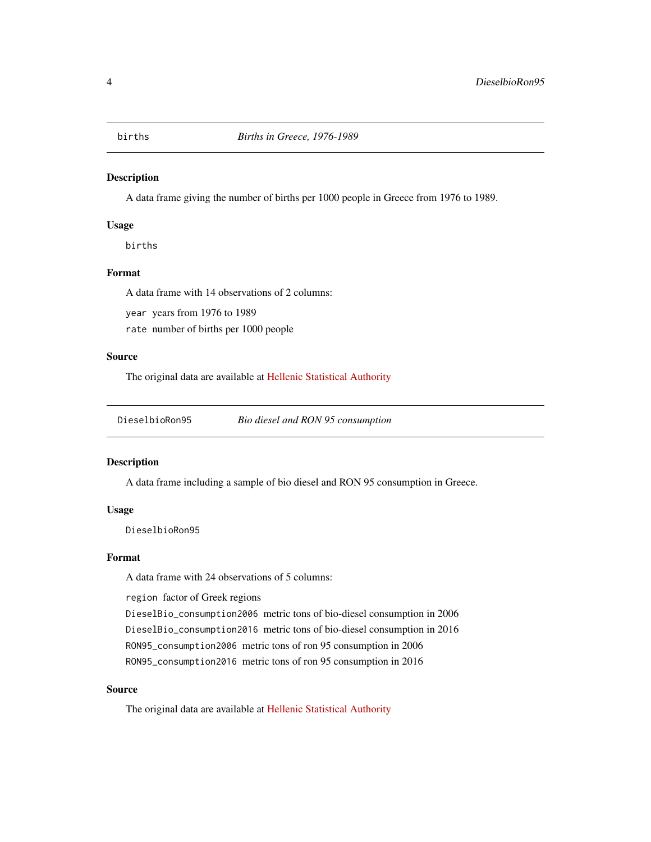<span id="page-3-0"></span>

A data frame giving the number of births per 1000 people in Greece from 1976 to 1989.

### Usage

births

## Format

A data frame with 14 observations of 2 columns:

year years from 1976 to 1989

rate number of births per 1000 people

## Source

The original data are available at [Hellenic Statistical Authority](http://www.statistics.gr/)

DieselbioRon95 *Bio diesel and RON 95 consumption*

## Description

A data frame including a sample of bio diesel and RON 95 consumption in Greece.

## Usage

DieselbioRon95

#### Format

A data frame with 24 observations of 5 columns:

region factor of Greek regions

DieselBio\_consumption2006 metric tons of bio-diesel consumption in 2006 DieselBio\_consumption2016 metric tons of bio-diesel consumption in 2016 RON95\_consumption2006 metric tons of ron 95 consumption in 2006 RON95\_consumption2016 metric tons of ron 95 consumption in 2016

#### Source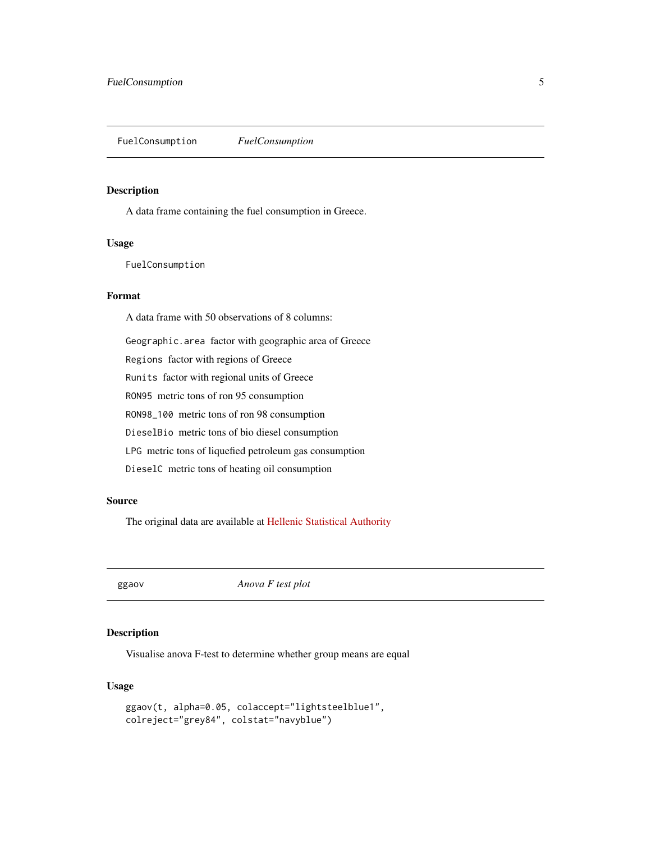<span id="page-4-0"></span>FuelConsumption *FuelConsumption*

#### Description

A data frame containing the fuel consumption in Greece.

## Usage

FuelConsumption

## Format

A data frame with 50 observations of 8 columns:

Geographic.area factor with geographic area of Greece

Regions factor with regions of Greece

Runits factor with regional units of Greece

RON95 metric tons of ron 95 consumption

RON98\_100 metric tons of ron 98 consumption

DieselBio metric tons of bio diesel consumption

LPG metric tons of liquefied petroleum gas consumption

DieselC metric tons of heating oil consumption

## Source

The original data are available at [Hellenic Statistical Authority](http://www.statistics.gr/)

ggaov *Anova F test plot*

## Description

Visualise anova F-test to determine whether group means are equal

## Usage

```
ggaov(t, alpha=0.05, colaccept="lightsteelblue1",
colreject="grey84", colstat="navyblue")
```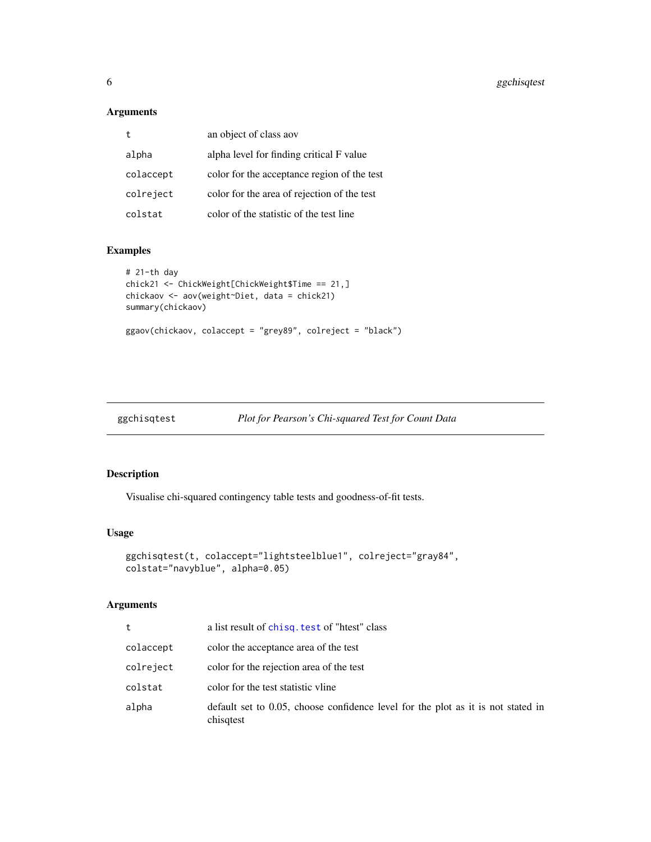## <span id="page-5-0"></span>Arguments

|           | an object of class aov                      |
|-----------|---------------------------------------------|
| alpha     | alpha level for finding critical F value    |
| colaccept | color for the acceptance region of the test |
| colreject | color for the area of rejection of the test |
| colstat   | color of the statistic of the test line     |

## Examples

```
# 21-th day
chick21 <- ChickWeight[ChickWeight$Time == 21,]
chickaov <- aov(weight~Diet, data = chick21)
summary(chickaov)
ggaov(chickaov, colaccept = "grey89", colreject = "black")
```
ggchisqtest *Plot for Pearson's Chi-squared Test for Count Data*

| Plot for Pearson's Chi-squared Test for Count Data |  |  |  |  |  |  |
|----------------------------------------------------|--|--|--|--|--|--|
|----------------------------------------------------|--|--|--|--|--|--|

## Description

Visualise chi-squared contingency table tests and goodness-of-fit tests.

## Usage

```
ggchisqtest(t, colaccept="lightsteelblue1", colreject="gray84",
colstat="navyblue", alpha=0.05)
```
## Arguments

| t         | a list result of chisq. test of "htest" class                                                 |
|-----------|-----------------------------------------------------------------------------------------------|
| colaccept | color the acceptance area of the test                                                         |
| colreject | color for the rejection area of the test                                                      |
| colstat   | color for the test statistic vline                                                            |
| alpha     | default set to 0.05, choose confidence level for the plot as it is not stated in<br>chisqtest |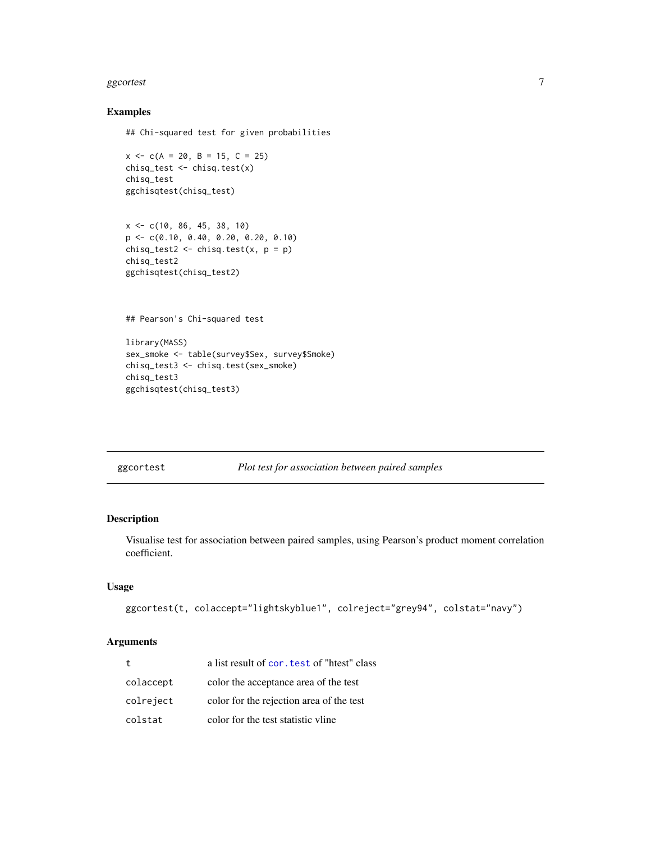#### <span id="page-6-0"></span>ggcortest 7 and 2008 and 2008 and 2008 and 2008 and 2008 and 2008 and 2008 and 2008 and 2008 and 2008 and 2008

## Examples

```
## Chi-squared test for given probabilities
```

```
x \leq -c(A = 20, B = 15, C = 25)chisq_test <- chisq.test(x)
chisq_test
ggchisqtest(chisq_test)
```

```
x <- c(10, 86, 45, 38, 10)
p <- c(0.10, 0.40, 0.20, 0.20, 0.10)
chisq_test2 <- chisq.test(x, p = p)
chisq_test2
ggchisqtest(chisq_test2)
```
## Pearson's Chi-squared test

```
library(MASS)
sex_smoke <- table(survey$Sex, survey$Smoke)
chisq_test3 <- chisq.test(sex_smoke)
chisq_test3
ggchisqtest(chisq_test3)
```
ggcortest *Plot test for association between paired samples*

## Description

Visualise test for association between paired samples, using Pearson's product moment correlation coefficient.

## Usage

```
ggcortest(t, colaccept="lightskyblue1", colreject="grey94", colstat="navy")
```
## Arguments

| $^{\rm t}$ | a list result of cor. test of "htest" class |
|------------|---------------------------------------------|
| colaccept  | color the acceptance area of the test       |
| colreject  | color for the rejection area of the test    |
| colstat    | color for the test statistic vline          |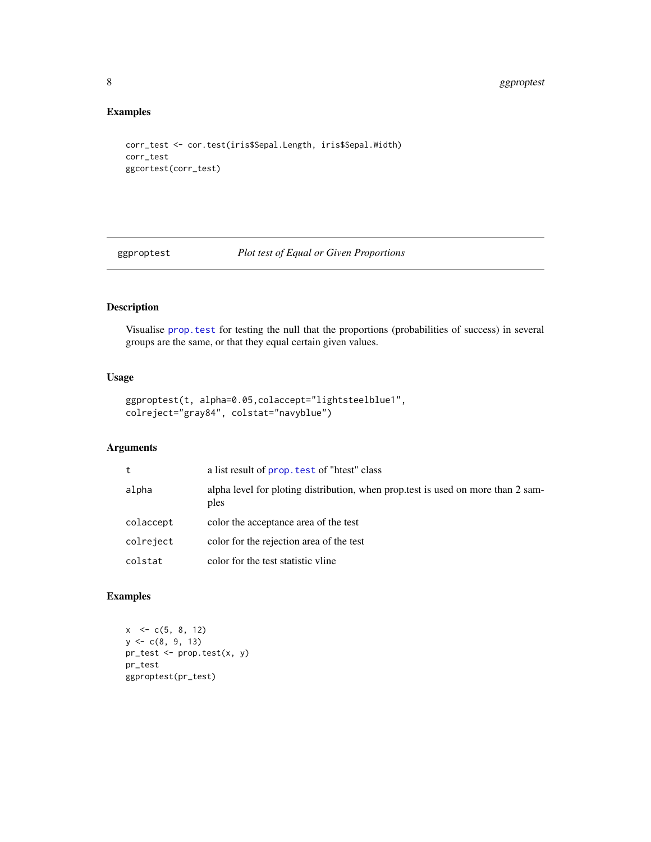## Examples

```
corr_test <- cor.test(iris$Sepal.Length, iris$Sepal.Width)
corr_test
ggcortest(corr_test)
```
ggproptest *Plot test of Equal or Given Proportions*

## Description

Visualise [prop.test](#page-0-0) for testing the null that the proportions (probabilities of success) in several groups are the same, or that they equal certain given values.

## Usage

```
ggproptest(t, alpha=0.05,colaccept="lightsteelblue1",
colreject="gray84", colstat="navyblue")
```
## Arguments

| t         | a list result of prop. test of "htest" class                                             |
|-----------|------------------------------------------------------------------------------------------|
| alpha     | alpha level for ploting distribution, when prop.test is used on more than 2 sam-<br>ples |
| colaccept | color the acceptance area of the test                                                    |
| colreject | color for the rejection area of the test                                                 |
| colstat   | color for the test statistic vline                                                       |

## Examples

```
x \leq c(5, 8, 12)y \leq c(8, 9, 13)pr_test <- prop.test(x, y)
pr_test
ggproptest(pr_test)
```
<span id="page-7-0"></span>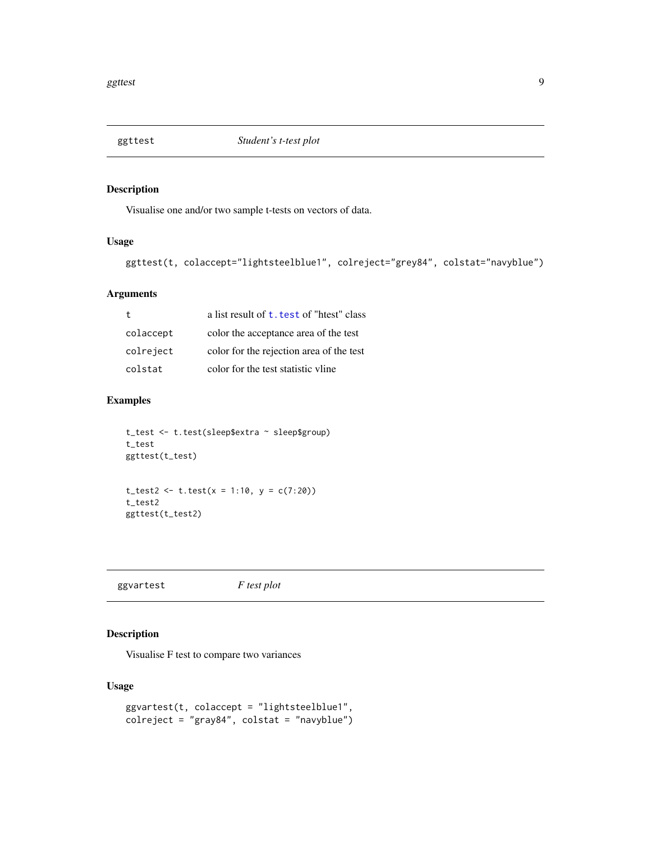<span id="page-8-0"></span>

Visualise one and/or two sample t-tests on vectors of data.

## Usage

```
ggttest(t, colaccept="lightsteelblue1", colreject="grey84", colstat="navyblue")
```
## Arguments

|           | a list result of t. test of "htest" class |
|-----------|-------------------------------------------|
| colaccept | color the acceptance area of the test     |
| colreject | color for the rejection area of the test  |
| colstat   | color for the test statistic vline        |

## Examples

```
t_test <- t.test(sleep$extra ~ sleep$group)
t_test
ggttest(t_test)
t_{\text{test2}} \leftarrow t_{\text{test}}(x = 1:10, y = c(7:20))t_test2
```

```
ggttest(t_test2)
```
ggvartest *F test plot*

## Description

Visualise F test to compare two variances

## Usage

```
ggvartest(t, colaccept = "lightsteelblue1",
colreject = "gray84", colstat = "navyblue")
```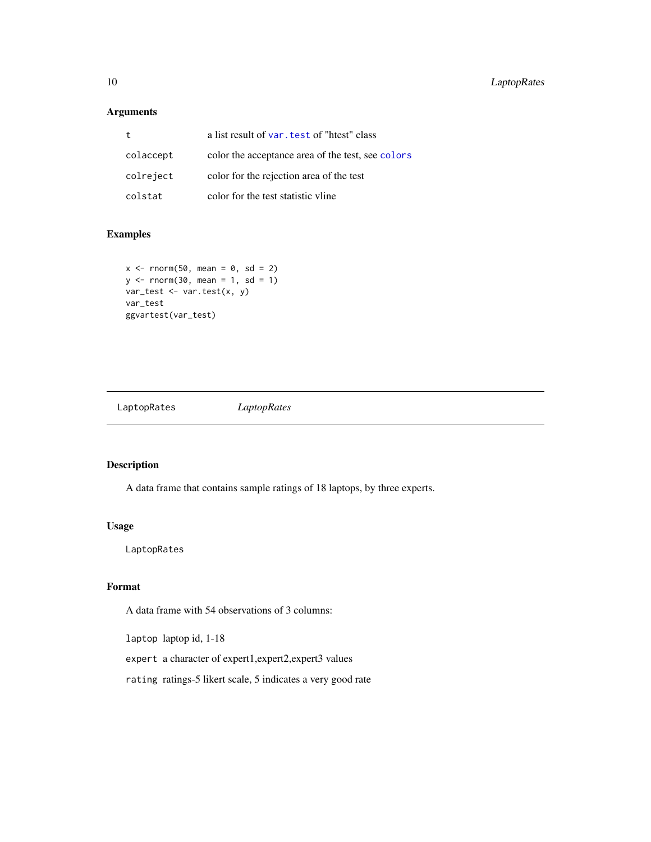## <span id="page-9-0"></span>Arguments

|           | a list result of var. test of "htest" class       |
|-----------|---------------------------------------------------|
| colaccept | color the acceptance area of the test, see colors |
| colreject | color for the rejection area of the test          |
| colstat   | color for the test statistic vline                |

## Examples

```
x \le - rnorm(50, mean = 0, sd = 2)
y \le - rnorm(30, mean = 1, sd = 1)
var_test <- var.test(x, y)
var_test
ggvartest(var_test)
```
LaptopRates *LaptopRates*

## Description

A data frame that contains sample ratings of 18 laptops, by three experts.

## Usage

LaptopRates

## Format

A data frame with 54 observations of 3 columns:

laptop laptop id, 1-18

expert a character of expert1,expert2,expert3 values

rating ratings-5 likert scale, 5 indicates a very good rate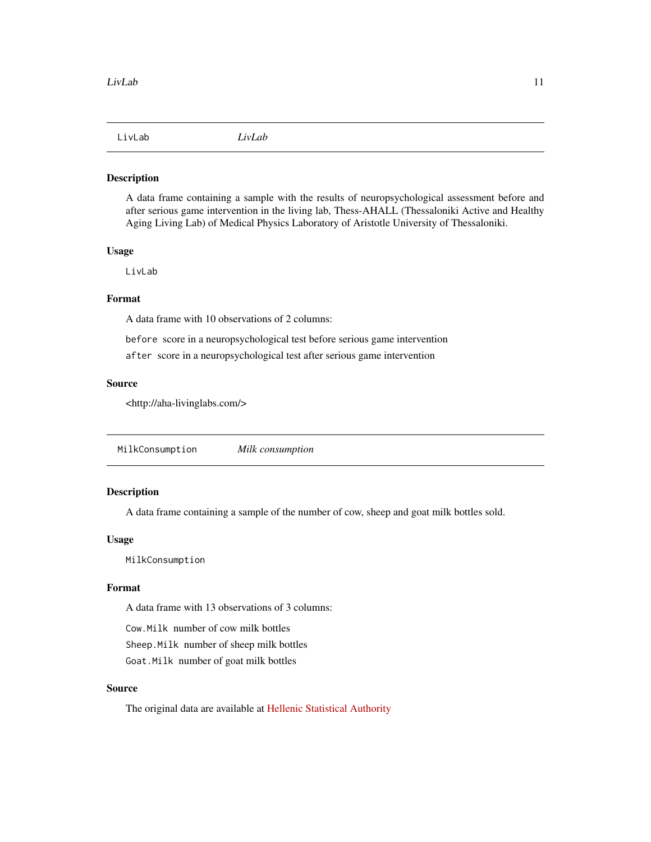<span id="page-10-0"></span>

A data frame containing a sample with the results of neuropsychological assessment before and after serious game intervention in the living lab, Thess-AHALL (Thessaloniki Active and Healthy Aging Living Lab) of Medical Physics Laboratory of Aristotle University of Thessaloniki.

## Usage

LivLab

## Format

A data frame with 10 observations of 2 columns:

before score in a neuropsychological test before serious game intervention

after score in a neuropsychological test after serious game intervention

## Source

<http://aha-livinglabs.com/>

MilkConsumption *Milk consumption*

## Description

A data frame containing a sample of the number of cow, sheep and goat milk bottles sold.

## Usage

MilkConsumption

## Format

A data frame with 13 observations of 3 columns:

Cow.Milk number of cow milk bottles

Sheep.Milk number of sheep milk bottles

Goat.Milk number of goat milk bottles

## Source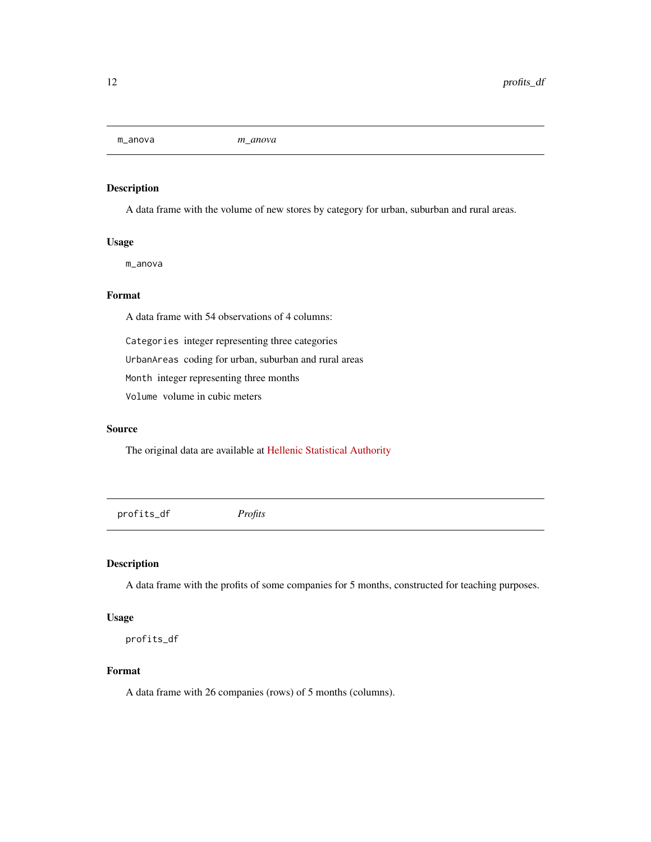<span id="page-11-0"></span>m\_anova *m\_anova*

## Description

A data frame with the volume of new stores by category for urban, suburban and rural areas.

## Usage

m\_anova

## Format

A data frame with 54 observations of 4 columns:

Categories integer representing three categories

UrbanAreas coding for urban, suburban and rural areas

Month integer representing three months

Volume volume in cubic meters

#### Source

The original data are available at [Hellenic Statistical Authority](http://www.statistics.gr/)

| profits_df | Profits |
|------------|---------|
|            |         |

## Description

A data frame with the profits of some companies for 5 months, constructed for teaching purposes.

#### Usage

profits\_df

#### Format

A data frame with 26 companies (rows) of 5 months (columns).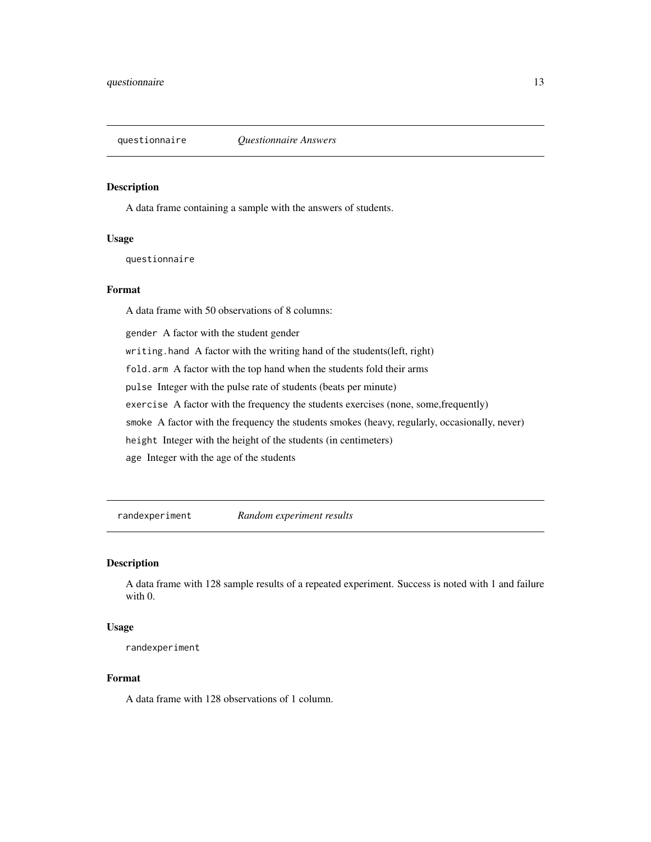<span id="page-12-0"></span>

A data frame containing a sample with the answers of students.

## Usage

questionnaire

## Format

A data frame with 50 observations of 8 columns:

gender A factor with the student gender

writing.hand A factor with the writing hand of the students(left, right)

fold.arm A factor with the top hand when the students fold their arms

pulse Integer with the pulse rate of students (beats per minute)

exercise A factor with the frequency the students exercises (none, some,frequently)

smoke A factor with the frequency the students smokes (heavy, regularly, occasionally, never)

height Integer with the height of the students (in centimeters)

age Integer with the age of the students

randexperiment *Random experiment results*

#### Description

A data frame with 128 sample results of a repeated experiment. Success is noted with 1 and failure with 0.

## Usage

randexperiment

## Format

A data frame with 128 observations of 1 column.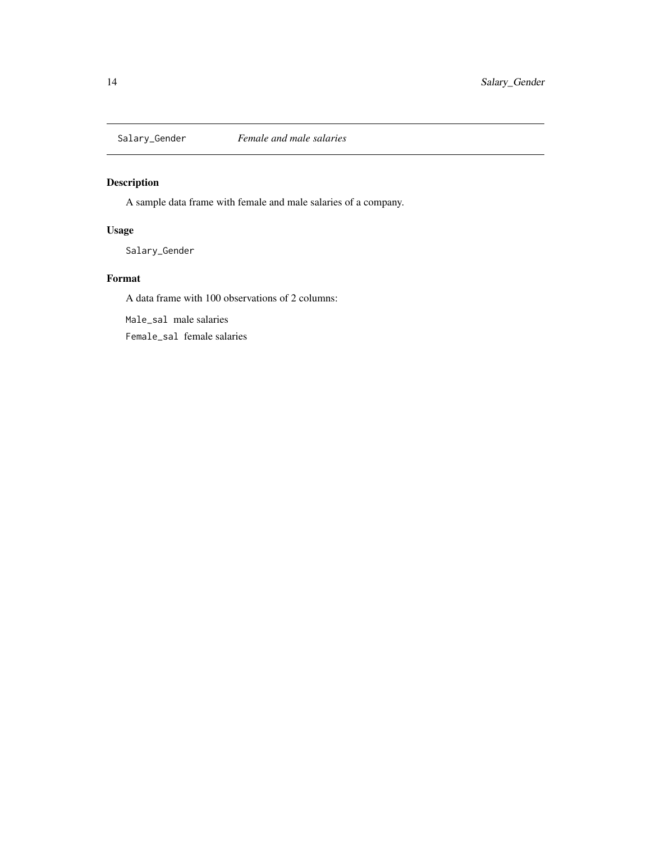<span id="page-13-0"></span>

A sample data frame with female and male salaries of a company.

## Usage

Salary\_Gender

## Format

A data frame with 100 observations of 2 columns:

Male\_sal male salaries

Female\_sal female salaries